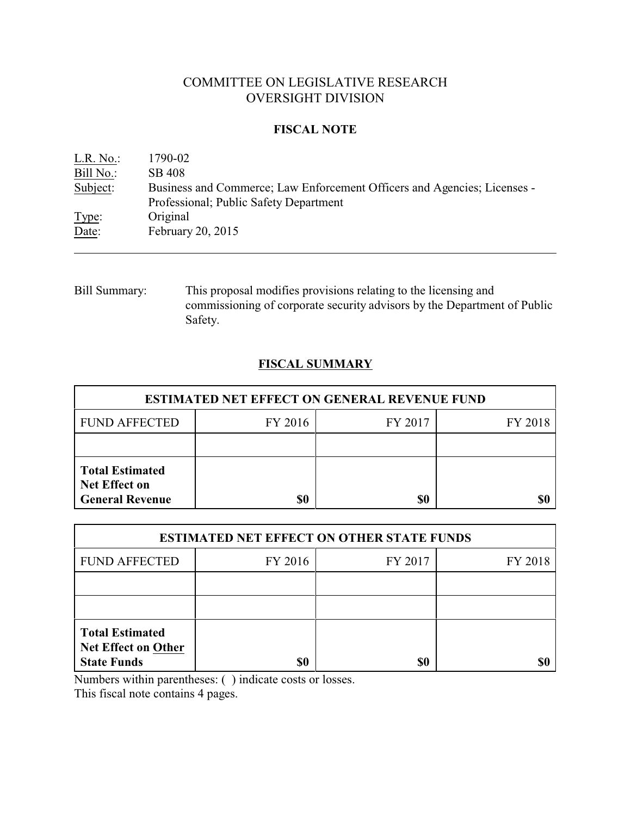# COMMITTEE ON LEGISLATIVE RESEARCH OVERSIGHT DIVISION

## **FISCAL NOTE**

| L.R. No.  | 1790-02                                                                  |
|-----------|--------------------------------------------------------------------------|
| Bill No.: | SB 408                                                                   |
| Subject:  | Business and Commerce; Law Enforcement Officers and Agencies; Licenses - |
|           | Professional; Public Safety Department                                   |
| Type:     | Original                                                                 |
| Date:     | February 20, 2015                                                        |

Bill Summary: This proposal modifies provisions relating to the licensing and commissioning of corporate security advisors by the Department of Public Safety.

## **FISCAL SUMMARY**

| <b>ESTIMATED NET EFFECT ON GENERAL REVENUE FUND</b>                      |         |         |         |  |
|--------------------------------------------------------------------------|---------|---------|---------|--|
| <b>FUND AFFECTED</b>                                                     | FY 2016 | FY 2017 | FY 2018 |  |
|                                                                          |         |         |         |  |
| <b>Total Estimated</b><br><b>Net Effect on</b><br><b>General Revenue</b> | \$0     | \$0     |         |  |

| <b>ESTIMATED NET EFFECT ON OTHER STATE FUNDS</b>                           |         |         |         |  |
|----------------------------------------------------------------------------|---------|---------|---------|--|
| <b>FUND AFFECTED</b>                                                       | FY 2016 | FY 2017 | FY 2018 |  |
|                                                                            |         |         |         |  |
|                                                                            |         |         |         |  |
| <b>Total Estimated</b><br><b>Net Effect on Other</b><br><b>State Funds</b> | \$0     | \$0     |         |  |

Numbers within parentheses: ( ) indicate costs or losses.

This fiscal note contains 4 pages.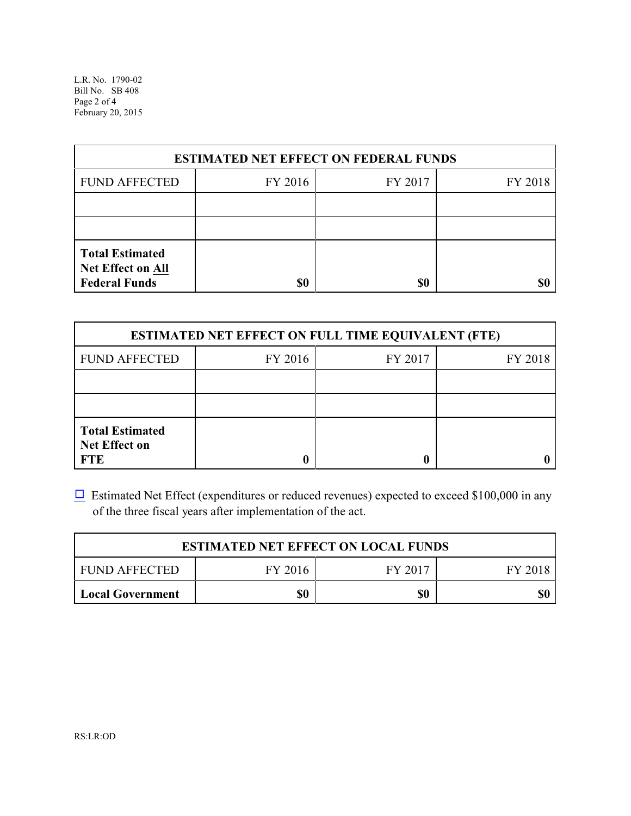L.R. No. 1790-02 Bill No. SB 408 Page 2 of 4 February 20, 2015

| <b>ESTIMATED NET EFFECT ON FEDERAL FUNDS</b>                        |         |         |         |  |
|---------------------------------------------------------------------|---------|---------|---------|--|
| <b>FUND AFFECTED</b>                                                | FY 2016 | FY 2017 | FY 2018 |  |
|                                                                     |         |         |         |  |
|                                                                     |         |         |         |  |
| <b>Total Estimated</b><br>Net Effect on All<br><b>Federal Funds</b> | \$0     | \$0     |         |  |

| <b>ESTIMATED NET EFFECT ON FULL TIME EQUIVALENT (FTE)</b>    |         |         |         |  |
|--------------------------------------------------------------|---------|---------|---------|--|
| <b>FUND AFFECTED</b>                                         | FY 2016 | FY 2017 | FY 2018 |  |
|                                                              |         |         |         |  |
|                                                              |         |         |         |  |
| <b>Total Estimated</b><br><b>Net Effect on</b><br><b>FTE</b> |         |         |         |  |

 $\Box$  Estimated Net Effect (expenditures or reduced revenues) expected to exceed \$100,000 in any of the three fiscal years after implementation of the act.

| <b>ESTIMATED NET EFFECT ON LOCAL FUNDS</b> |         |         |         |  |
|--------------------------------------------|---------|---------|---------|--|
| <b>FUND AFFECTED</b>                       | FY 2016 | FY 2017 | FY 2018 |  |
| Local Government                           | \$0     | \$0     | \$0     |  |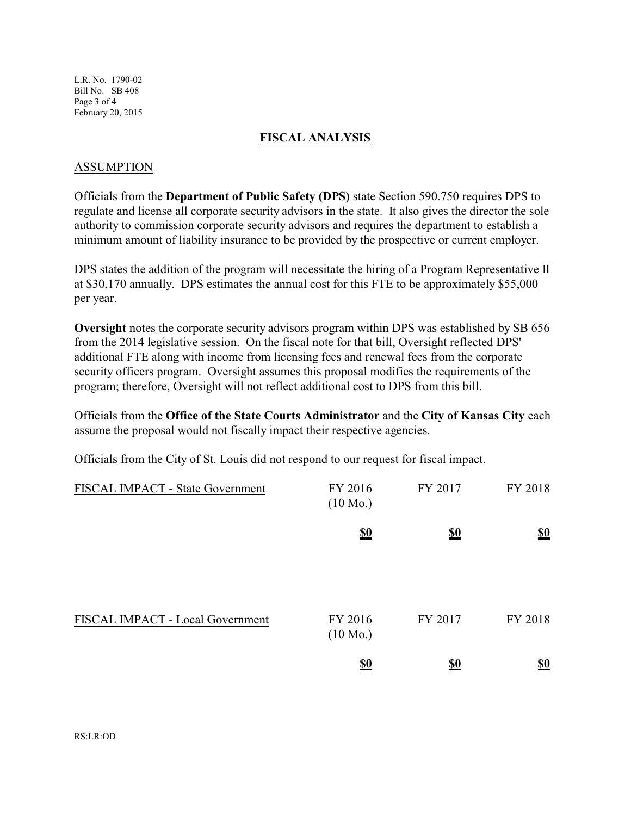L.R. No. 1790-02 Bill No. SB 408 Page 3 of 4 February 20, 2015

#### **FISCAL ANALYSIS**

#### ASSUMPTION

Officials from the **Department of Public Safety (DPS)** state Section 590.750 requires DPS to regulate and license all corporate security advisors in the state. It also gives the director the sole authority to commission corporate security advisors and requires the department to establish a minimum amount of liability insurance to be provided by the prospective or current employer.

DPS states the addition of the program will necessitate the hiring of a Program Representative II at \$30,170 annually. DPS estimates the annual cost for this FTE to be approximately \$55,000 per year.

**Oversight** notes the corporate security advisors program within DPS was established by SB 656 from the 2014 legislative session. On the fiscal note for that bill, Oversight reflected DPS' additional FTE along with income from licensing fees and renewal fees from the corporate security officers program. Oversight assumes this proposal modifies the requirements of the program; therefore, Oversight will not reflect additional cost to DPS from this bill.

Officials from the **Office of the State Courts Administrator** and the **City of Kansas City** each assume the proposal would not fiscally impact their respective agencies.

Officials from the City of St. Louis did not respond to our request for fiscal impact.

| FISCAL IMPACT - State Government | FY 2016<br>$(10 \text{ Mo.})$ | FY 2017                       | FY 2018                       |
|----------------------------------|-------------------------------|-------------------------------|-------------------------------|
|                                  | $\underline{\underline{\$0}}$ | <u>\$0</u>                    | $\underline{\underline{\$0}}$ |
| FISCAL IMPACT - Local Government | FY 2016<br>$(10 \text{ Mo.})$ | FY 2017                       | FY 2018                       |
|                                  | $\underline{\underline{\$0}}$ | $\underline{\underline{\$0}}$ | $\underline{\underline{\$0}}$ |